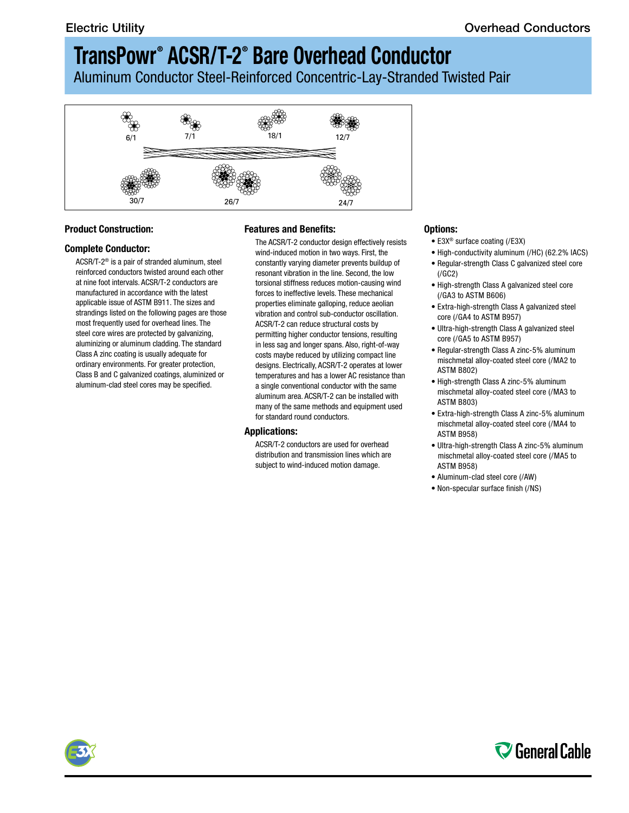Aluminum Conductor Steel-Reinforced Concentric-Lay-Stranded Twisted Pair



### **Product Construction:**

#### **Complete Conductor:**

ACSR/T-2® is a pair of stranded aluminum, steel reinforced conductors twisted around each other at nine foot intervals. ACSR/T-2 conductors are manufactured in accordance with the latest applicable issue of ASTM B911. The sizes and strandings listed on the following pages are those most frequently used for overhead lines. The steel core wires are protected by galvanizing, aluminizing or aluminum cladding. The standard Class A zinc coating is usually adequate for ordinary environments. For greater protection, Class B and C galvanized coatings, aluminized or aluminum-clad steel cores may be specified.

### **Features and Benefits:**

The ACSR/T-2 conductor design effectively resists wind-induced motion in two ways. First, the constantly varying diameter prevents buildup of resonant vibration in the line. Second, the low torsional stiffness reduces motion-causing wind forces to ineffective levels. These mechanical properties eliminate galloping, reduce aeolian vibration and control sub-conductor oscillation. ACSR/T-2 can reduce structural costs by permitting higher conductor tensions, resulting in less sag and longer spans. Also, right-of-way costs maybe reduced by utilizing compact line designs. Electrically, ACSR/T-2 operates at lower temperatures and has a lower AC resistance than a single conventional conductor with the same aluminum area. ACSR/T-2 can be installed with many of the same methods and equipment used for standard round conductors.

#### **Applications:**

ACSR/T-2 conductors are used for overhead distribution and transmission lines which are subject to wind-induced motion damage.

#### **Options:**

- E3X® surface coating (/E3X)
- High-conductivity aluminum (/HC) (62.2% IACS)
- Regular-strength Class C galvanized steel core (/GC2)
- High-strength Class A galvanized steel core (/GA3 to ASTM B606)
- Extra-high-strength Class A galvanized steel core (/GA4 to ASTM B957)
- Ultra-high-strength Class A galvanized steel core (/GA5 to ASTM B957)
- Regular-strength Class A zinc-5% aluminum mischmetal alloy-coated steel core (/MA2 to ASTM B802)
- High-strength Class A zinc-5% aluminum mischmetal alloy-coated steel core (/MA3 to ASTM B803)
- Extra-high-strength Class A zinc-5% aluminum mischmetal alloy-coated steel core (/MA4 to ASTM B958)
- Ultra-high-strength Class A zinc-5% aluminum mischmetal alloy-coated steel core (/MA5 to ASTM B958)
- Aluminum-clad steel core (/AW)
- Non-specular surface finish (/NS)



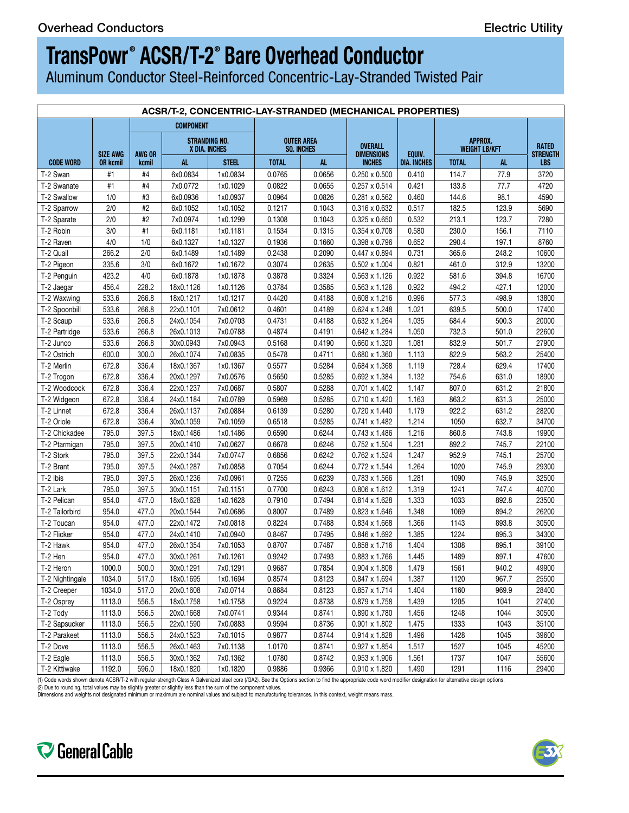Aluminum Conductor Steel-Reinforced Concentric-Lay-Stranded Twisted Pair

|                  | ACSR/T-2, CONCENTRIC-LAY-STRANDED (MECHANICAL PROPERTIES) |                |                                      |              |                                 |        |                                     |             |                          |       |                          |  |  |
|------------------|-----------------------------------------------------------|----------------|--------------------------------------|--------------|---------------------------------|--------|-------------------------------------|-------------|--------------------------|-------|--------------------------|--|--|
|                  |                                                           |                | <b>COMPONENT</b>                     |              |                                 |        |                                     |             |                          |       |                          |  |  |
|                  | SIZE AWG                                                  | AWG OR         | <b>STRANDING NO</b><br>X DIA. INCHES |              | <b>OUTER AREA</b><br>SQ. INCHES |        | <b>OVERALL</b><br><b>DIMENSIONS</b> | EQUIV.      | APPROX.<br>WEIGHT LB/KFT |       | <b>RATED</b><br>STRENGTI |  |  |
| <b>CODE WORD</b> | <b>OR kcmil</b>                                           | kcmil          | AL.                                  | <b>STEEL</b> | <b>TOTAL</b>                    | AL.    | <b>INCHES</b>                       | DIA. INCHES | <b>TOTAL</b>             |       | LBS                      |  |  |
| T-2 Swan         | #1                                                        | #4             | 6x0.0834                             | 1x0.0834     | 0.0765                          | 0.0656 | $0.250 \times 0.500$                | 0.410       | 114.7                    | 77.9  | 3720                     |  |  |
| T-2 Swanate      | #1                                                        | #4             | 7x0.0772                             | 1x0.1029     | 0.0822                          | 0.0655 | $0.257 \times 0.514$                | 0.421       | 133.8                    | 77.7  | 4720                     |  |  |
| T-2 Swallow      | 1/0                                                       | #3             | 6x0.0936                             | 1x0.0937     | 0.0964                          | 0.0826 | 0.281 x 0.562                       | 0.460       | 144.6                    | 98.1  | 4590                     |  |  |
| T-2 Sparrow      | 2/0                                                       | #2             | 6x0.1052                             | 1x0.1052     | 0.1217                          | 0.1043 | 0.316 x 0.632                       | 0.517       | 182.5                    | 123.9 | 5690                     |  |  |
| T-2 Sparate      | 2/0                                                       | #2             | 7x0.0974                             | 1x0.1299     | 0.1308                          | 0.1043 | 0.325 x 0.650                       | 0.532       | 213.1                    | 123.7 | 7280                     |  |  |
| T-2 Robin        | 3/0                                                       | #1             | 6x0.1181                             | 1x0.1181     | 0.1534                          | 0.1315 | 0.354 x 0.708                       | 0.580       | 230.0                    | 156.1 | 7110                     |  |  |
| T-2 Raven        | 4/0                                                       | 1/0            | 6x0.1327                             | 1x0.1327     | 0.1936                          | 0.1660 | 0.398 x 0.796                       | 0.652       | 290.4                    | 197.1 | 8760                     |  |  |
| T-2 Quail        | 266.2                                                     | 2/0            | 6x0.1489                             | 1x0.1489     | 0.2438                          | 0.2090 | 0.447 x 0.894                       | 0.731       | 365.6                    | 248.2 | 10600                    |  |  |
| T-2 Pigeon       | 335.6                                                     | 3/0            | 6x0.1672                             | 1x0.1672     | 0.3074                          | 0.2635 | $0.502 \times 1.004$                | 0.821       | 461.0                    | 312.9 | 13200                    |  |  |
| T-2 Penguin      | 423.2                                                     | 4/0            | 6x0.1878                             | 1x0.1878     | 0.3878                          | 0.3324 | 0.563 x 1.126                       | 0.922       | 581.6                    | 394.8 | 16700                    |  |  |
| T-2 Jaegar       | 456.4                                                     | 228.2          | 18x0.1126                            | 1x0.1126     | 0.3784                          | 0.3585 | $0.563 \times 1.126$                | 0.922       | 494.2                    | 427.1 | 12000                    |  |  |
| T-2 Waxwing      | 533.6                                                     | 266.8          | 18x0.1217                            | 1x0.1217     | 0.4420                          | 0.4188 | $0.608 \times 1.216$                | 0.996       | 577.3                    | 498.9 | 13800                    |  |  |
| T-2 Spoonbill    | 533.6                                                     | 266.8          | 22x0.1101                            | 7x0.0612     | 0.4601                          | 0.4189 | 0.624 x 1.248                       | 1.021       | 639.5                    | 500.0 | 17400                    |  |  |
| T-2 Scaup        | 533.6                                                     | 266.8          | 24x0.1054                            | 7x0.0703     | 0.4731                          | 0.4188 | 0.632 x 1.264                       | 1.035       | 684.4                    | 500.3 | 20000                    |  |  |
| T-2 Partridge    | 533.6                                                     | 266.8          | 26x0.1013                            | 7x0.0788     | 0.4874                          | 0.4191 | 0.642 x 1.284                       | 1.050       | 732.3                    | 501.0 | 22600                    |  |  |
| T-2 Junco        | 533.6                                                     | 266.8          | 30x0.0943                            | 7x0.0943     | 0.5168                          | 0.4190 | 0.660 x 1.320                       | 1.081       | 832.9                    | 501.7 | 27900                    |  |  |
| T-2 Ostrich      | 600.0                                                     | 300.0          | 26x0.1074                            | 7x0.0835     | 0.5478                          | 0.4711 | 0.680 x 1.360                       | 1.113       | 822.9                    | 563.2 | 25400                    |  |  |
| T-2 Merlin       | 672.8                                                     | 336.4          | 18x0.1367                            | 1x0.1367     | 0.5577                          | 0.5284 | 0.684 x 1.368                       | 1.119       | 728.4                    | 629.4 | 17400                    |  |  |
| T-2 Trogon       | 672.8                                                     | 336.4          | 20x0.1297                            | 7x0.0576     | 0.5650                          | 0.5285 | 0.692 x 1.384                       | 1.132       | 754.6                    | 631.0 | 18900                    |  |  |
| T-2 Woodcock     | 672.8                                                     | 336.4          | 22x0.1237                            | 7x0.0687     | 0.5807                          | 0.5288 | 0.701 x 1.402                       | 1.147       | 807.0                    | 631.2 | 21800                    |  |  |
| T-2 Widgeon      | 672.8                                                     | 336.4          | 24x0.1184                            | 7x0.0789     | 0.5969                          | 0.5285 | 0.710 x 1.420                       | 1.163       | 863.2                    | 631.3 | 25000                    |  |  |
| T-2 Linnet       | 672.8                                                     | 336.4          | 26x0.1137                            | 7x0.0884     | 0.6139                          | 0.5280 | 0.720 x 1.440                       | 1.179       | 922.2                    | 631.2 | 28200                    |  |  |
| T-2 Oriole       | 672.8                                                     | 336.4          | 30x0.1059                            | 7x0.1059     | 0.6518                          | 0.5285 | 0.741 x 1.482                       | 1.214       | 1050                     | 632.7 | 34700                    |  |  |
| T-2 Chickadee    | 795.0                                                     | 397.5          | 18x0.1486                            | 1x0.1486     | 0.6590                          | 0.6244 | 0.743 x 1.486                       | 1.216       | 860.8                    | 743.8 | 19900                    |  |  |
| T-2 Ptarmigan    | 795.0                                                     | 397.5          | 20x0.1410                            | 7x0.0627     | 0.6678                          | 0.6246 | 0.752 x 1.504                       | 1.231       | 892.2                    | 745.7 | 22100                    |  |  |
| T-2 Stork        | 795.0                                                     | 397.5          | 22x0.1344                            | 7x0.0747     | 0.6856                          | 0.6242 | 0.762 x 1.524                       | 1.247       | 952.9                    | 745.1 | 25700                    |  |  |
| T-2 Brant        | 795.0                                                     | 397.5          | 24x0.1287                            | 7x0.0858     | 0.7054                          | 0.6244 | 0.772 x 1.544                       | 1.264       | 1020                     | 745.9 | 29300                    |  |  |
| T-2 Ibis         | 795.0                                                     | 397.5          | 26x0.1236                            | 7x0.0961     | 0.7255                          | 0.6239 | 0.783 x 1.566                       | 1.281       | 1090                     | 745.9 | 32500                    |  |  |
| T-2 Lark         | 795.0                                                     | 397.5          | 30x0.1151                            | 7x0.1151     | 0.7700                          | 0.6243 | $0.806 \times 1.612$                | 1.319       | 1241                     | 747.4 | 40700                    |  |  |
| T-2 Pelican      | 954.0                                                     | 477.0          | 18x0.1628                            | 1x0.1628     | 0.7910                          | 0.7494 | 0.814 x 1.628                       | 1.333       | 1033                     | 892.8 | 23500                    |  |  |
| T-2 Tailorbird   | 954.0                                                     | 477.0          | 20x0.1544                            | 7x0.0686     | 0.8007                          | 0.7489 | 0.823 x 1.646                       | 1.348       | 1069                     | 894.2 | 26200                    |  |  |
| T-2 Toucan       | 954.0                                                     | 477.0          | 22x0.1472                            | 7x0.0818     | 0.8224                          | 0.7488 | 0.834 x 1.668                       | 1.366       | 1143                     | 893.8 | 30500                    |  |  |
| T-2 Flicker      | 954.0                                                     | 477.0          | 24x0.1410                            | 7x0.0940     | 0.8467                          | 0.7495 | 0.846 x 1.692                       | 1.385       | 1224                     | 895.3 | 34300                    |  |  |
| T-2 Hawk         | 954.0                                                     | 477.0          | 26x0.1354                            | 7x0.1053     | 0.8707                          | 0.7487 | 0.858 x 1.716                       | 1.404       | 1308                     | 895.1 | 39100                    |  |  |
| T-2 Hen          | 954.0                                                     |                | 30x0.1261                            | 7x0.1261     | 0.9242                          | 0.7493 | 0.883 x 1.766                       | 1.445       | 1489                     | 897.1 | 47600                    |  |  |
| $T-2$ Heron      |                                                           | 477.0          | $1000.0$ 500.0 30x0.1291             | 7x0.1291     | 0.9687                          | 0.7854 | $0.904 \times 1.808$                | 1.479       | 1561                     | 940.2 | 49900                    |  |  |
|                  |                                                           |                |                                      |              |                                 |        |                                     |             |                          |       |                          |  |  |
| T-2 Nightingale  | 1034.0 517.0                                              |                | 18x0.1695                            | 1x0.1694     | 0.8574                          | 0.8123 | $0.847 \times 1.694$                | 1.387       | 1120                     | 967.7 | 25500                    |  |  |
| T-2 Creeper      |                                                           | $1034.0$ 517.0 | 20x0.1608                            | 7x0.0714     | 0.8684                          | 0.8123 | $0.857 \times 1.714$                | 1.404       | 1160                     | 969.9 | 28400                    |  |  |
| T-2 Osprey       | 1113.0                                                    | 556.5          | 18x0.1758                            | 1x0.1758     | 0.9224                          | 0.8738 | 0.879 x 1.758                       | 1.439       | 1205                     | 1041  | 27400                    |  |  |
| T-2 Tody         | 1113.0 556.5                                              |                | 20x0.1668                            | 7x0.0741     | 0.9344                          | 0.8741 | 0.890 x 1.780                       | 1.456       | 1248                     | 1044  | 30500                    |  |  |
| T-2 Sapsucker    | 1113.0                                                    | 556.5          | 22x0.1590                            | 7x0.0883     | 0.9594                          | 0.8736 | 0.901 x 1.802                       | 1.475       | 1333                     | 1043  | 35100                    |  |  |
| T-2 Parakeet     | $1113.0$ 556.5                                            |                | 24x0.1523                            | 7x0.1015     | 0.9877                          | 0.8744 | $0.914 \times 1.828$                | 1.496       | 1428                     | 1045  | 39600                    |  |  |
| T-2 Dove         | $1113.0$ 556.5                                            |                | 26x0.1463                            | 7x0.1138     | 1.0170                          | 0.8741 | $0.927 \times 1.854$                | 1.517       | 1527                     | 1045  | 45200                    |  |  |
| T-2 Eagle        | 1113.0                                                    | 556.5          | 30x0.1362                            | 7x0.1362     | 1.0780                          | 0.8742 | 0.953 x 1.906                       | 1.561       | 1737                     | 1047  | 55600                    |  |  |
| T-2 Kittiwake    | 1192.0                                                    | 596.0          | 18x0.1820                            | 1x0.1820     | 0.9886                          | 0.9366 | $0.910 \times 1.820$                | 1.490       | 1291                     | 1116  | 29400                    |  |  |

(1) Code words shown denote ACSR/T-2 with regular-strength Class A Galvanized steel core (/GA2). See the Options section to find the appropriate code word modifier designation for alternative design options.

(2) Due to rounding, total values may be slightly greater or slightly less than the sum of the component values.<br>Dimensions and weights not designated minimum or maximum are nominal values and subject to manufacturing tole



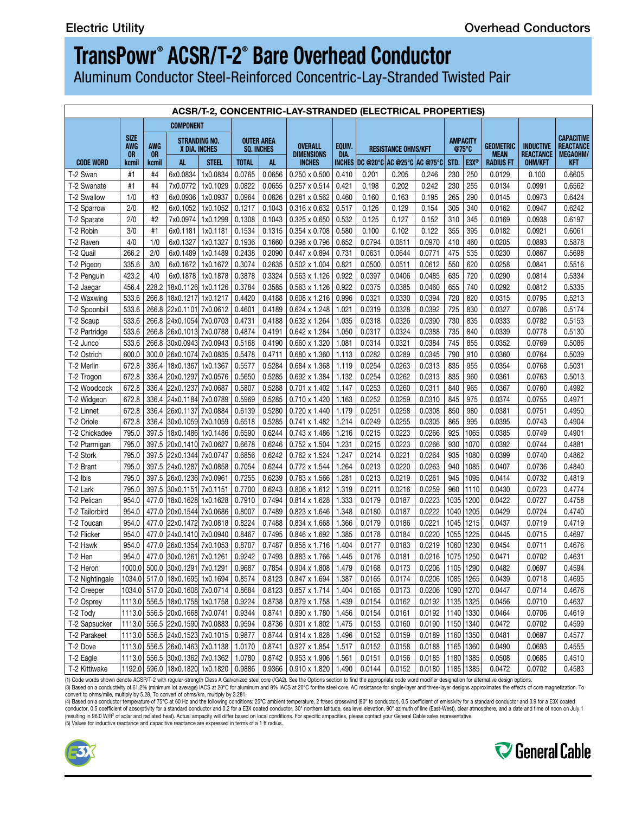C General Cable

## **TransPowr ® ACSR/T-2® Bare Overhead Conductor**

Aluminum Conductor Steel-Reinforced Concentric-Lay-Stranded Twisted Pair

| <b>COMPONENT</b>                                                                                                                                                                                                   |  |
|--------------------------------------------------------------------------------------------------------------------------------------------------------------------------------------------------------------------|--|
| <b>SIZE</b>                                                                                                                                                                                                        |  |
| AWG                                                                                                                                                                                                                |  |
| <b>OR</b><br>kcmil<br><b>CODE WORD</b>                                                                                                                                                                             |  |
| T-2 Swan<br>#1                                                                                                                                                                                                     |  |
| T-2 Swanate<br>#1                                                                                                                                                                                                  |  |
| T-2 Swallow<br>1/0                                                                                                                                                                                                 |  |
| 2/0<br>T-2 Sparrow                                                                                                                                                                                                 |  |
| 2/0<br>T-2 Sparate                                                                                                                                                                                                 |  |
| T-2 Robin<br>3/0                                                                                                                                                                                                   |  |
| T-2 Raven<br>4/0                                                                                                                                                                                                   |  |
| 266.2<br>T-2 Quail                                                                                                                                                                                                 |  |
| 335.6<br>T-2 Pigeon                                                                                                                                                                                                |  |
| 423.2<br>T-2 Penguin                                                                                                                                                                                               |  |
| 456.4 228.2 18x0.1126 1x0.1126 0.3784 0.3585 0.563 x 1.126 0.922 0.0375 0.0385<br>T-2 Jaegar                                                                                                                       |  |
| 533.6 266.8 18x0.1217 1x0.1217 0.4420 0.4188 0.608 x 1.216 0.996 0.0321 0.0330<br>T-2 Waxwing                                                                                                                      |  |
| 533.6 266.8 22x0.1101 7x0.0612 0.4601 0.4189 0.624 x 1.248 1.021 0.0319 0.0328<br>T-2 Spoonbill                                                                                                                    |  |
| T-2 Scaup<br>533.6 266.8 24x0.1054 7x0.0703 0.4731 0.4188 0.632 x 1.264 1.035 0.0318 0.0326                                                                                                                        |  |
| 533.6 266.8 26x0.1013 7x0.0788 0.4874 0.4191 0.642 x 1.284 1.050 0.0317 0.0324<br>T-2 Partridge                                                                                                                    |  |
| 533.6 266.8 30x0.0943 7x0.0943 0.5168 0.4190 0.660 x 1.320 1.081 0.0314 0.0321<br>T-2 Junco                                                                                                                        |  |
| 600.0 300.0 26x0.1074 7x0.0835 0.5478 0.4711 0.680 x 1.360 1.113 0.0282 0.0289<br>T-2 Ostrich                                                                                                                      |  |
| 672.8 336.4 18x0.1367 1x0.1367 0.5577 0.5284 0.684 x 1.368 1.119 0.0254 0.0263<br>T-2 Merlin                                                                                                                       |  |
| 672.8 336.4 20x0.1297 7x0.0576 0.5650 0.5285 0.692 x 1.384 1.132 0.0254 0.0262<br>T-2 Trogon                                                                                                                       |  |
| 672.8   336.4  22x0.1237  7x0.0687   0.5807   0.5288   0.701 x 1.402   1.147   0.0253<br>T-2 Woodcock                                                                                                              |  |
| 672.8   336.4  24x0.1184  7x0.0789   0.5969   0.5285   0.710 x 1.420   1.163   0.0252   0.0259   0.0310   845   975  <br>T-2 Widgeon                                                                               |  |
| 672.8 336.4 26x0.1137 7x0.0884 0.6139 0.5280 0.720 x 1.440 1.179 0.0251<br>T-2 Linnet                                                                                                                              |  |
| 672.8 336.4 30x0.1059 7x0.1059 0.6518 0.5285 0.741 x 1.482 1.214 0.0249 0.0255<br>T-2 Oriole                                                                                                                       |  |
| 795.0   397.5  18x0.1486  1x0.1486   0.6590   0.6244   0.743 x 1.486   1.216    0.0215    0.0223<br>T-2 Chickadee                                                                                                  |  |
| 795.0 397.5 20x0.1410 7x0.0627 0.6678 0.6246 0.752 x 1.504 1.231 0.0215 0.0223<br>T-2 Ptarmigan                                                                                                                    |  |
| 795.0 397.5 22x0.1344 7x0.0747 0.6856 0.6242 0.762 x 1.524 1.247 0.0214 0.0221<br>T-2 Stork                                                                                                                        |  |
| 795.0 397.5 24x0.1287 7x0.0858 0.7054 0.6244 0.772 x 1.544 1.264 0.0213 0.0220<br>T-2 Brant                                                                                                                        |  |
| 795.0 397.5 26x0.1236 7x0.0961 0.7255 0.6239 0.783 x 1.566 1.281 0.0213 0.0219<br>T-2 Ibis                                                                                                                         |  |
| 795.0 397.5 30x0.1151 7x0.1151 0.7700 0.6243 0.806 x 1.612 1.319 0.0211 0.0216<br>T-2 Lark                                                                                                                         |  |
| 954.0 477.0 18x0.1628 1x0.1628 0.7910 0.7494 0.814 x 1.628 1.333 0.0179 0.0187<br>T-2 Pelican                                                                                                                      |  |
| 954.0 477.0 20x0.1544 7x0.0686 0.8007 0.7489 0.823 x 1.646 1.348 0.0180 0.0187<br>T-2 Tailorbird                                                                                                                   |  |
| 954.0 477.0 22x0.1472 7x0.0818 0.8224 0.7488 0.834 x 1.668 1.366 0.0179 0.0186<br>T-2 Toucan                                                                                                                       |  |
| 954.0 477.0 24x0.1410 7x0.0940 0.8467 0.7495 0.846 x 1.692 1.385 0.0178 0.0184<br>T-2 Flicker                                                                                                                      |  |
| T-2 Hawk                                                                                                                                                                                                           |  |
| 954.0 477.0 30x0.1261 7x0.1261 0.9242 0.7493 0.883 x 1.766 1.445 0.0176 0.0181 0.0216 1075 1250<br>T-2 Hen                                                                                                         |  |
| 1000.0  500.0  30x0.1291  7x0.1291   0.9687   0.7854   0.904 x 1.808   1.479   0.0168   0.0173   0.0206  1105  1290  <br>T-2 Heron                                                                                 |  |
| $\vert 1034.0 \vert$ 517.0 $\vert 18x0.1695 \vert 1x0.1694 \vert$ 0.8574 $\vert 0.8123 \vert 0.847 \times 1.694 \vert 1.387 \vert 0.0165 \vert 0.0174 \vert 0.0206 \vert 1085 \vert 1265 \vert$<br>T-2 Nightingale |  |
| 1034.0 517.0 20x0.1608 7x0.0714 0.8684 0.8123 0.857 x 1.714 1.404 0.0165 0.0173 0.0206 1090 1270 0.0447<br>T-2 Creeper                                                                                             |  |
| 1113.0 556.5 18x0.1758 1x0.1758 0.9224 0.8738 0.879 x 1.758 1.439 0.0154 0.0162 0.0192 1135 1325 0.0456<br>T-2 Osprey                                                                                              |  |
| 1113.0 556.5 20x0.1668 7x0.0741 0.9344 0.8741 0.890 x 1.780 1.456 0.0154 0.0161 0.0192 1140 1330 0.0464<br>T-2 Tody                                                                                                |  |
| 1113.0 556.5 22x0.1590 7x0.0883 0.9594 0.8736 0.901 x 1.802 1.475 0.0153 0.0160 0.0190 1150 1340 0.0472<br>T-2 Sapsucker                                                                                           |  |
| 1113.0 556.5 24x0.1523 7x0.1015 0.9877 0.8744 0.914 x 1.828 1.496 0.0152 0.0159 0.0189<br>T-2 Parakeet                                                                                                             |  |
| 1113.0 556.5 26x0.1463 7x0.1138 1.0170 0.8741 0.927 x 1.854 1.517 0.0152 0.0158 0.0188 1165 1360<br>T-2 Dove                                                                                                       |  |
| 1113.0 556.5 30x0.1362 7x0.1362 1.0780 0.8742 0.953 x 1.906 1.561 0.0151 0.0156 0.0185 1180 1385 0.0508<br>T-2 Eagle                                                                                               |  |
| 1192.0 596.0 18x0.1820 1x0.1820 0.9886 0.9366 0.910 x 1.820 1.490 0.0144 0.0152 0.0180 1185 1385 0.0472<br>T-2 Kittiwake                                                                                           |  |
|                                                                                                                                                                                                                    |  |

(1) Code words shown denote ACSR/T-2 with regular-strength Class A Galvanized steel core (/GA2). See the Options section to find the appropriate code word modifier designation for alternative design options. (3) Based on a conductivity of 61.2% (minimum lot average) IACS at 20°C for aluminum and 8% IACS at 20°C for the steel core. AC resistance for single-layer and three-layer designs approximates the effects of core magnetiza

conductor, 0.5 coefficient of absorptivity for a standard conductor and 0.2 for a E3X coated conductor, 30° northern latitude, sea level elevation, 90° azimuth of line (East-West), clear atmosphere, and a date and time of (5) Values for inductive reactance and capacitive reactance are expressed in terms of a 1 ft radius.

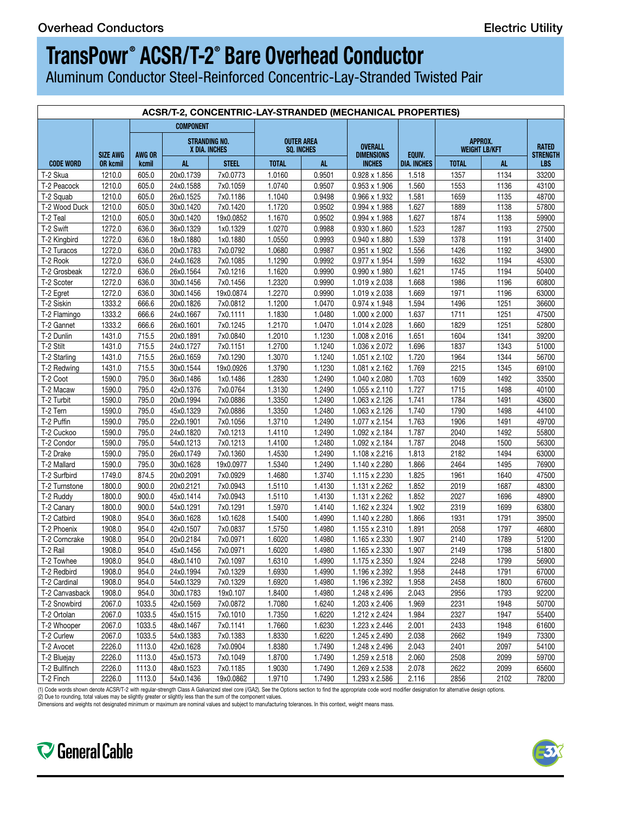Aluminum Conductor Steel-Reinforced Concentric-Lay-Stranded Twisted Pair

|                  | ACSR/T-2, CONCENTRIC-LAY-STRANDED (MECHANICAL PROPERTIES) |                  |                             |                                       |                                 |        |                                     |             |                                 |      |                          |  |  |
|------------------|-----------------------------------------------------------|------------------|-----------------------------|---------------------------------------|---------------------------------|--------|-------------------------------------|-------------|---------------------------------|------|--------------------------|--|--|
|                  |                                                           | <b>COMPONENT</b> |                             |                                       |                                 |        |                                     |             |                                 |      |                          |  |  |
|                  | SIZE AWG   AWG OR                                         |                  |                             | <b>STRANDING NO.</b><br>X DIA. INCHES | <b>OUTER AREA</b><br>SQ. INCHES |        | <b>OVERALL</b><br><b>DIMENSIONS</b> | EQUIV.      | APPROX.<br><b>WEIGHT LB/KFT</b> |      | <b>RATED</b><br>STRENGTH |  |  |
| <b>CODE WORD</b> | <b>OR kcmil</b>                                           | kcmil            | AL.                         | <b>STEEL</b>                          | <b>TOTAL</b>                    | AL.    | <b>INCHES</b>                       | DIA. INCHES | <b>TOTAL</b>                    |      | LBS                      |  |  |
| T-2 Skua         | 1210.0                                                    | 605.0            | 20x0.1739                   | 7x0.0773                              | 1.0160                          | 0.9501 | 0.928 x 1.856                       | 1.518       | 1357                            | 1134 | 33200                    |  |  |
| T-2 Peacock      | 1210.0                                                    | $605.0$          | 24x0.1588                   | 7x0.1059                              | 1.0740                          | 0.9507 | $0.953 \times 1.906$                | 1.560       | 1553                            | 1136 | 43100                    |  |  |
| T-2 Squab        | 1210.0                                                    | 605.0            | 26x0.1525                   | 7x0.1186                              | 1.1040                          | 0.9498 | 0.966 x 1.932                       | 1.581       | 1659                            | 1135 | 48700                    |  |  |
| T-2 Wood Duck    | 1210.0                                                    | 605.0            | 30x0.1420                   | 7x0.1420                              | 1.1720                          | 0.9502 | 0.994 x 1.988                       | 1.627       | 1889                            | 1138 | 57800                    |  |  |
| T-2 Teal         | 1210.0                                                    | 605.0            | 30x0.1420                   | 19x0.0852                             | 1.1670                          | 0.9502 | 0.994 x 1.988                       | 1.627       | 1874                            | 1138 | 59900                    |  |  |
| T-2 Swift        | 1272.0                                                    | 636.0            | 36x0.1329                   | 1x0.1329                              | 1.0270                          | 0.9988 | 0.930 x 1.860                       | 1.523       | 1287                            | 1193 | 27500                    |  |  |
| T-2 Kingbird     | 1272.0                                                    | 636.0            | 18x0.1880                   | 1x0.1880                              | 1.0550                          | 0.9993 | 0.940 x 1.880                       | 1.539       | 1378                            | 1191 | 31400                    |  |  |
| T-2 Turacos      | 1272.0                                                    | 636.0            | 20x0.1783                   | 7x0.0792                              | 1.0680                          | 0.9987 | 0.951 x 1.902                       | 1.556       | 1426                            | 1192 | 34900                    |  |  |
| T-2 Rook         | 1272.0                                                    | 636.0            | 24x0.1628                   | 7x0.1085                              | 1.1290                          | 0.9992 | 0.977 x 1.954                       | 1.599       | 1632                            | 1194 | 45300                    |  |  |
| T-2 Grosbeak     | 1272.0                                                    | 636.0            | 26x0.1564                   | 7x0.1216                              | 1.1620                          | 0.9990 | 0.990 x 1.980                       | 1.621       | 1745                            | 1194 | 50400                    |  |  |
| T-2 Scoter       | 1272.0                                                    | 636.0            | 30x0.1456                   | 7x0.1456                              | 1.2320                          | 0.9990 | 1.019 x 2.038                       | 1.668       | 1986                            | 1196 | 60800                    |  |  |
| T-2 Egret        | 1272.0                                                    | 636.0            | 30x0.1456                   | 19x0.0874                             | 1.2270                          | 0.9990 | 1.019 x 2.038                       | 1.669       | 1971                            | 1196 | 63000                    |  |  |
| T-2 Siskin       | 1333.2                                                    | 666.6            | 20x0.1826                   | 7x0.0812                              | 1.1200                          | 1.0470 | 0.974 x 1.948                       | 1.594       | 1496                            | 1251 | 36600                    |  |  |
| T-2 Flamingo     | 1333.2                                                    | 666.6            | 24x0.1667                   | 7x0.1111                              | 1.1830                          | 1.0480 | 1.000 x 2.000                       | 1.637       | 1711                            | 1251 | 47500                    |  |  |
| T-2 Gannet       | 1333.2                                                    | 666.6            | 26x0.1601                   | 7x0.1245                              | 1.2170                          | 1.0470 | 1.014 x 2.028                       | 1.660       | 1829                            | 1251 | 52800                    |  |  |
| T-2 Dunlin       | 1431.0                                                    | 715.5            | 20x0.1891                   | 7x0.0840                              | 1.2010                          | 1.1230 | 1.008 x 2.016                       | 1.651       | 1604                            | 1341 | 39200                    |  |  |
| T-2 Stilt        | 1431.0                                                    | 715.5            | 24x0.1727                   | 7x0.1151                              | 1.2700                          | 1.1240 | 1.036 x 2.072                       | 1.696       | 1837                            | 1343 | 51000                    |  |  |
| T-2 Starling     | 1431.0                                                    | 715.5            | 26x0.1659                   | 7x0.1290                              | 1.3070                          | 1.1240 | 1.051 x 2.102                       | 1.720       | 1964                            | 1344 | 56700                    |  |  |
| T-2 Redwing      | 1431.0                                                    | 715.5            | 30x0.1544                   | 19x0.0926                             | 1.3790                          | 1.1230 | 1.081 x 2.162                       | 1.769       | 2215                            | 1345 | 69100                    |  |  |
| T-2 Coot         | 1590.0                                                    | 795.0            | 36x0.1486                   | 1x0.1486                              | 1.2830                          | 1.2490 | 1.040 x 2.080                       | 1.703       | 1609                            | 1492 | 33500                    |  |  |
| T-2 Macaw        | 1590.0                                                    | 795.0            | 42x0.1376                   | 7x0.0764                              | 1.3130                          | 1.2490 | 1.055 x 2.110                       | 1.727       | 1715                            | 1498 | 40100                    |  |  |
| T-2 Turbit       | 1590.0                                                    | 795.0            | 20x0.1994                   | 7x0.0886                              | 1.3350                          | 1.2490 | 1.063 x 2.126                       | 1.741       | 1784                            | 1491 | 43600                    |  |  |
| T-2 Tern         | 1590.0                                                    | 795.0            | 45x0.1329                   | 7x0.0886                              | 1.3350                          | 1.2480 | 1.063 x 2.126                       | 1.740       | 1790                            | 1498 | 44100                    |  |  |
| T-2 Puffin       | 1590.0                                                    | 795.0            | 22x0.1901                   | 7x0.1056                              | 1.3710                          | 1.2490 | 1.077 x 2.154                       | 1.763       | 1906                            | 1491 | 49700                    |  |  |
| T-2 Cuckoo       | 1590.0                                                    | 795.0            | 24x0.1820                   | 7x0.1213                              | 1.4110                          | 1.2490 | 1.092 x 2.184                       | 1.787       | 2040                            | 1492 | 55800                    |  |  |
| T-2 Condor       | 1590.0                                                    | 795.0            | 54x0.1213                   | 7x0.1213                              | 1.4100                          | 1.2480 | 1.092 x 2.184                       | 1.787       | 2048                            | 1500 | 56300                    |  |  |
| T-2 Drake        | 1590.0                                                    | 795.0            | 26x0.1749                   | 7x0.1360                              | 1.4530                          | 1.2490 | 1.108 x 2.216                       | 1.813       | 2182                            | 1494 | 63000                    |  |  |
| T-2 Mallard      | 1590.0                                                    | 795.0            | 30x0.1628                   | 19x0.0977                             | 1.5340                          |        | 1.140 x 2.280                       | 1.866       | 2464                            | 1495 | 76900                    |  |  |
|                  | 1749.0                                                    |                  |                             |                                       |                                 | 1.2490 |                                     |             |                                 |      |                          |  |  |
| T-2 Surfbird     |                                                           | 874.5            | 20x0.2091                   | 7x0.0929                              | 1.4680                          | 1.3740 | 1.115 x 2.230                       | 1.825       | 1961                            | 1640 | 47500                    |  |  |
| T-2 Turnstone    | 1800.0                                                    | 900.0            | 20x0.2121                   | 7x0.0943                              | 1.5110                          | 1.4130 | 1.131 x 2.262                       | 1.852       | 2019                            | 1687 | 48300                    |  |  |
| T-2 Ruddy        | 1800.0                                                    | 900.0            | 45x0.1414                   | 7x0.0943                              | 1.5110                          | 1.4130 | 1.131 x 2.262                       | 1.852       | 2027                            | 1696 | 48900                    |  |  |
| T-2 Canary       | 1800.0                                                    | 900.0            | 54x0.1291                   | 7x0.1291                              | 1.5970                          | 1.4140 | 1.162 x 2.324                       | 1.902       | 2319                            | 1699 | 63800                    |  |  |
| T-2 Catbird      | 1908.0                                                    | 954.0            | 36x0.1628                   | 1x0.1628                              | 1.5400                          | 1.4990 | 1.140 x 2.280                       | 1.866       | 1931                            | 1791 | 39500                    |  |  |
| T-2 Phoenix      | 1908.0                                                    | 954.0            | 42x0.1507                   | 7x0.0837                              | 1.5750                          | 1.4980 | 1.155 x 2.310                       | 1.891       | 2058                            | 1797 | 46800                    |  |  |
| T-2 Corncrake    | 1908.0                                                    | 954.0            | 20x0.2184                   | 7x0.0971                              | 1.6020                          | 1.4980 | 1.165 x 2.330                       | 1.907       | 2140                            | 1789 | 51200                    |  |  |
| T-2 Rail         | 1908.0                                                    | 954.0            | 45x0.1456                   | 7x0.0971                              | 1.6020                          | 1.4980 | 1.165 x 2.330                       | 1.907       | 2149                            | 1798 | 51800                    |  |  |
| T-2 Towhee       | 1908.0                                                    | 954.0            | 48x0.1410                   | 7x0.1097                              | 1.6310                          | 1.4990 | 1.175 x 2.350                       | 1.924       | 2248                            | 1799 | 56900                    |  |  |
| T-2 Redbird      | 1908.0                                                    | 954.0            | 24x0.1994                   | 7x0.1329                              | 1.6930                          | 1.4990 | 1.196 x 2.392                       | 1.958       | 2448                            | 1791 | 67000                    |  |  |
| T-2 Cardinal     | 1908.0                                                    | 954.0            | 54x0.1329                   | 7x0.1329                              | 1.6920                          | 1.4980 | 1.196 x 2.392                       | 1.958       | 2458                            | 1800 | 67600                    |  |  |
| T-2 Canvasback   | 1908.0                                                    | 954.0            | 30x0.1783                   | 19x0.107                              | 1.8400                          | 1.4980 | 1.248 x 2.496                       | 2.043       | 2956                            | 1793 | 92200                    |  |  |
| T-2 Snowbird     |                                                           | 2067.0   1033.5  | 42x0.1569                   | 7x0.0872                              | 1.7080                          | 1.6240 | 1.203 x 2.406                       | 1.969       | 2231                            | 1948 | 50700                    |  |  |
| T-2 Ortolan      |                                                           | 2067.0   1033.5  | 45x0.1515                   | 7x0.1010                              | 1.7350                          | 1.6220 | 1.212 x 2.424                       | 1.984       | 2327                            | 1947 | 55400                    |  |  |
| T-2 Whooper      |                                                           | 2067.0   1033.5  | 48x0.1467                   | 7x0.1141                              | 1.7660                          | 1.6230 | 1.223 x 2.446                       | 2.001       | 2433                            | 1948 | 61600                    |  |  |
| T-2 Curlew       |                                                           |                  | 2067.0   1033.5   54x0.1383 | 7x0.1383                              | 1.8330                          | 1.6220 | 1.245 x 2.490                       | 2.038       | 2662                            | 1949 | 73300                    |  |  |
| T-2 Avocet       |                                                           | 2226.0 1113.0    | 42x0.1628                   | 7x0.0904                              | 1.8380                          | 1.7490 | 1.248 x 2.496                       | 2.043       | 2401                            | 2097 | 54100                    |  |  |
| T-2 Bluejay      |                                                           | 2226.0 1113.0    | 45x0.1573                   | 7x0.1049                              | 1.8700                          | 1.7490 | 1.259 x 2.518                       | 2.060       | 2508                            | 2099 | 59700                    |  |  |
| T-2 Bullfinch    |                                                           | 2226.0 1113.0    | 48x0.1523                   | 7x0.1185                              | 1.9030                          | 1.7490 | 1.269 x 2.538                       | 2.078       | 2622                            | 2099 | 65600                    |  |  |
| $T-2$ Finch      |                                                           |                  | 2226.0   1113.0   54x0.1436 | 19x0.0862                             | 1.9710                          | 1.7490 | 1.293 x 2.586                       | 2.116       | 2856                            | 2102 | 78200                    |  |  |
|                  |                                                           |                  |                             |                                       |                                 |        |                                     |             |                                 |      |                          |  |  |

(1) Code words shown denote ACSR/T-2 with regular-strength Class A Galvanized steel core (/GA2). See the Options section to find the appropriate code word modifier designation for alternative design options.<br>(2) Due to rou